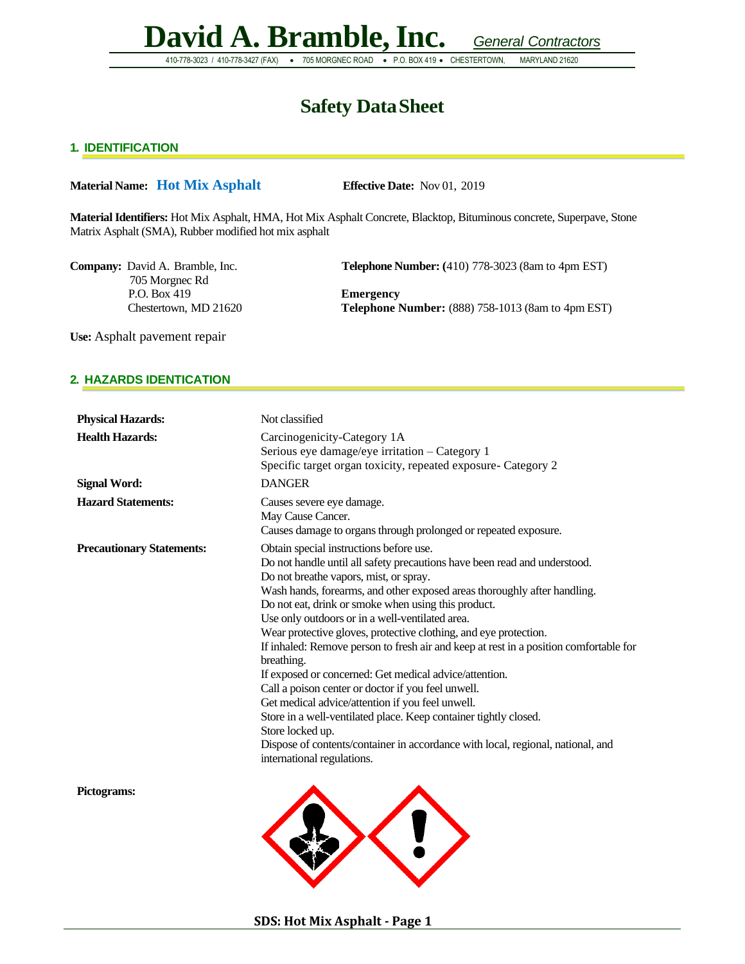**David A. Bramble,Inc.** *General Contractors* 410-778-3023 / 410-778-3427 (FAX) • 705 MORGNEC ROAD • P.O. BOX 419 • CHESTERTOWN, MARYLAND 21620

### **Safety DataSheet**

#### **1. IDENTIFICATION**

#### **Material Name: Hot Mix Asphalt Effective Date:** Nov 01, 2019

**Material Identifiers:** Hot Mix Asphalt, HMA, Hot Mix Asphalt Concrete, Blacktop, Bituminous concrete, Superpave, Stone Matrix Asphalt (SMA), Rubber modified hot mix asphalt

705 Morgnec Rd P.O. Box 419 **Emergency**

**Company:** David A. Bramble, Inc. **Telephone Number:** (410) 778-3023 (8am to 4pm EST)

Chestertown, MD 21620 **Telephone Number:** (888) 758-1013 (8am to 4pm EST)

**Use:** Asphalt pavement repair

#### **2. HAZARDS IDENTICATION**

| Not classified                                                                                                                                                                                                                                                                                                                                                                                                                                                                                                                                                                                                                                                                                                                                                                                                                                                                                               |
|--------------------------------------------------------------------------------------------------------------------------------------------------------------------------------------------------------------------------------------------------------------------------------------------------------------------------------------------------------------------------------------------------------------------------------------------------------------------------------------------------------------------------------------------------------------------------------------------------------------------------------------------------------------------------------------------------------------------------------------------------------------------------------------------------------------------------------------------------------------------------------------------------------------|
| Carcinogenicity-Category 1A<br>Serious eye damage/eye irritation - Category 1<br>Specific target organ toxicity, repeated exposure- Category 2                                                                                                                                                                                                                                                                                                                                                                                                                                                                                                                                                                                                                                                                                                                                                               |
| <b>DANGER</b>                                                                                                                                                                                                                                                                                                                                                                                                                                                                                                                                                                                                                                                                                                                                                                                                                                                                                                |
| Causes severe eye damage.<br>May Cause Cancer.<br>Causes damage to organs through prolonged or repeated exposure.                                                                                                                                                                                                                                                                                                                                                                                                                                                                                                                                                                                                                                                                                                                                                                                            |
| Obtain special instructions before use.<br>Do not handle until all safety precautions have been read and understood.<br>Do not breathe vapors, mist, or spray.<br>Wash hands, forearms, and other exposed areas thoroughly after handling.<br>Do not eat, drink or smoke when using this product.<br>Use only outdoors or in a well-ventilated area.<br>Wear protective gloves, protective clothing, and eye protection.<br>If inhaled: Remove person to fresh air and keep at rest in a position comfortable for<br>breathing.<br>If exposed or concerned: Get medical advice/attention.<br>Call a poison center or doctor if you feel unwell.<br>Get medical advice/attention if you feel unwell.<br>Store in a well-ventilated place. Keep container tightly closed.<br>Store locked up.<br>Dispose of contents/container in accordance with local, regional, national, and<br>international regulations. |
|                                                                                                                                                                                                                                                                                                                                                                                                                                                                                                                                                                                                                                                                                                                                                                                                                                                                                                              |
|                                                                                                                                                                                                                                                                                                                                                                                                                                                                                                                                                                                                                                                                                                                                                                                                                                                                                                              |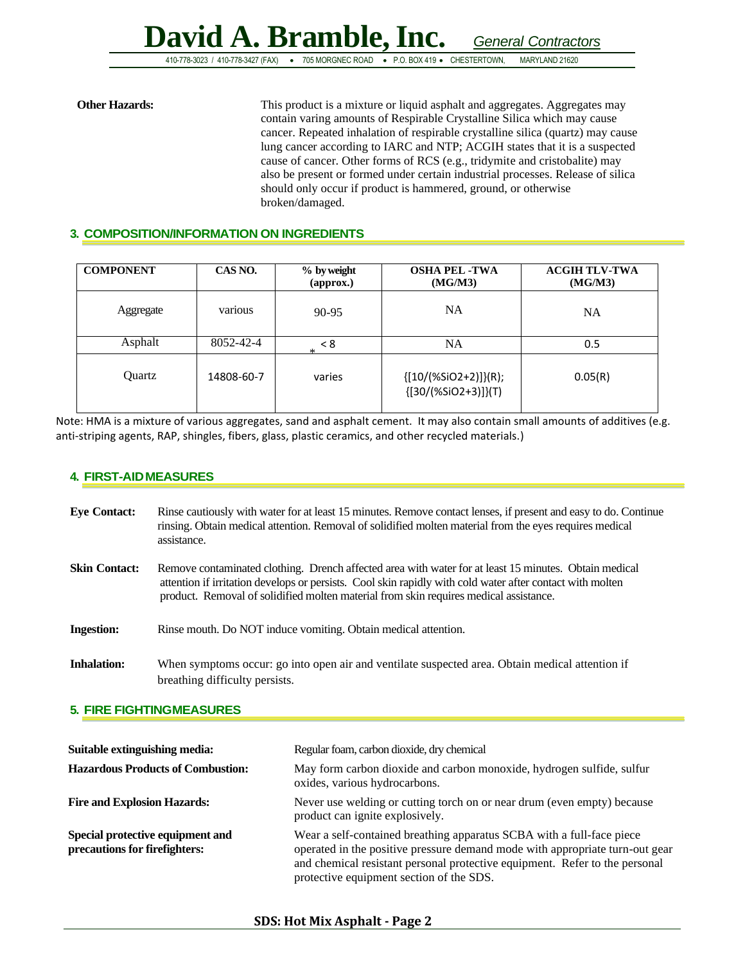**David A. Bramble,Inc.** *General Contractors* 410-778-3023 / 410-778-3427 (FAX) • 705 MORGNEC ROAD • P.O. BOX 419 • CHESTERTOWN, MARYLAND 21620

#### **Other Hazards:** This product is a mixture or liquid asphalt and aggregates. Aggregates may contain varing amounts of Respirable Crystalline Silica which may cause cancer. Repeated inhalation of respirable crystalline silica (quartz) may cause lung cancer according to IARC and NTP; ACGIH states that it is a suspected cause of cancer. Other forms of RCS (e.g., tridymite and cristobalite) may also be present or formed under certain industrial processes. Release of silica should only occur if product is hammered, ground, or otherwise broken/damaged.

#### **3. COMPOSITION/INFORMATION ON INGREDIENTS**

| <b>COMPONENT</b> | CAS NO.    | % by weight<br>$\left($ approx. $\right)$ | <b>OSHA PEL -TWA</b><br>(MG/M3)                           | <b>ACGIH TLV-TWA</b><br>(MG/M3) |
|------------------|------------|-------------------------------------------|-----------------------------------------------------------|---------------------------------|
| Aggregate        | various    | 90-95                                     | <b>NA</b>                                                 | <b>NA</b>                       |
| Asphalt          | 8052-42-4  | < 8<br>$\ast$                             | NA                                                        | 0.5                             |
| Ouartz           | 14808-60-7 | varies                                    | $\{ [10/(%SiO2+2)] \} (R);$<br>${ [ 30/(%SiO2+3) ] } (T)$ | 0.05(R)                         |

Note: HMA is a mixture of various aggregates, sand and asphalt cement. It may also contain small amounts of additives (e.g. anti-striping agents, RAP, shingles, fibers, glass, plastic ceramics, and other recycled materials.)

#### **4. FIRST-AIDMEASURES**

| <b>Eye Contact:</b>  | Rinse cautiously with water for at least 15 minutes. Remove contact lenses, if present and easy to do. Continue<br>rinsing. Obtain medical attention. Removal of solidified molten material from the eyes requires medical<br>assistance.                                                                   |
|----------------------|-------------------------------------------------------------------------------------------------------------------------------------------------------------------------------------------------------------------------------------------------------------------------------------------------------------|
| <b>Skin Contact:</b> | Remove contaminated clothing. Drench affected area with water for at least 15 minutes. Obtain medical<br>attention if irritation develops or persists. Cool skin rapidly with cold water after contact with molten<br>product. Removal of solidified molten material from skin requires medical assistance. |
| <b>Ingestion:</b>    | Rinse mouth. Do NOT induce vomiting. Obtain medical attention.                                                                                                                                                                                                                                              |
| <b>Inhalation:</b>   | When symptoms occur: go into open air and ventilate suspected area. Obtain medical attention if<br>breathing difficulty persists.                                                                                                                                                                           |

#### **5. FIRE FIGHTINGMEASURES**

| Suitable extinguishing media:                                     | Regular foam, carbon dioxide, dry chemical                                                                                                                                                                                                                                       |
|-------------------------------------------------------------------|----------------------------------------------------------------------------------------------------------------------------------------------------------------------------------------------------------------------------------------------------------------------------------|
| <b>Hazardous Products of Combustion:</b>                          | May form carbon dioxide and carbon monoxide, hydrogen sulfide, sulfur<br>oxides, various hydrocarbons.                                                                                                                                                                           |
| <b>Fire and Explosion Hazards:</b>                                | Never use welding or cutting torch on or near drum (even empty) because<br>product can ignite explosively.                                                                                                                                                                       |
| Special protective equipment and<br>precautions for firefighters: | Wear a self-contained breathing apparatus SCBA with a full-face piece<br>operated in the positive pressure demand mode with appropriate turn-out gear<br>and chemical resistant personal protective equipment. Refer to the personal<br>protective equipment section of the SDS. |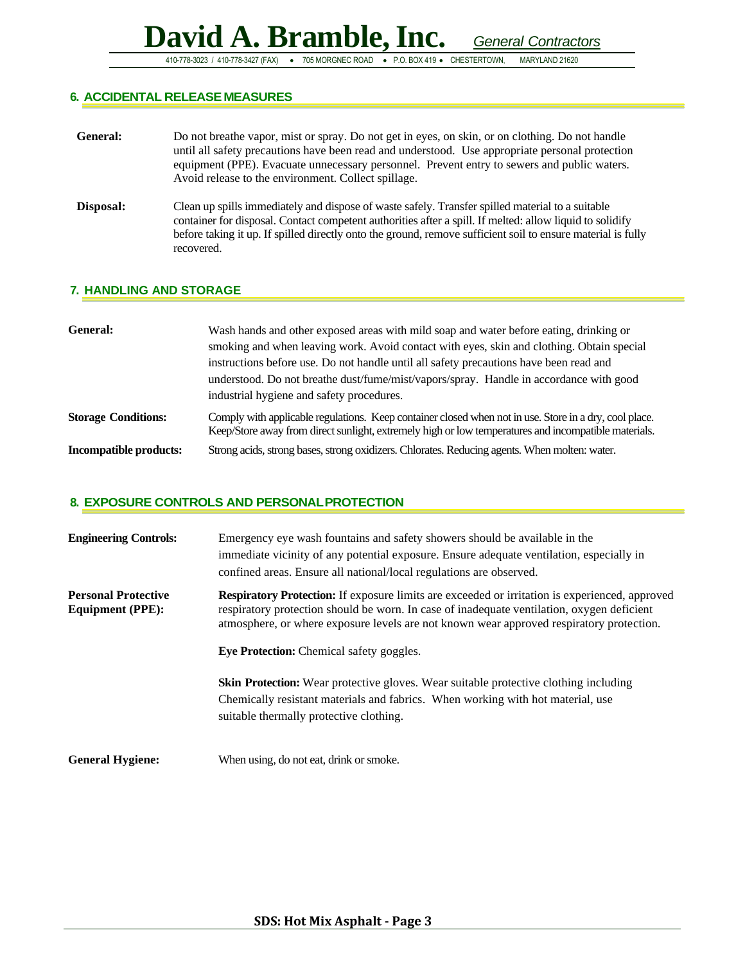410-778-3023 / 410-778-3427 (FAX) • 705 MORGNEC ROAD • P.O. BOX 419 • CHESTERTOWN, MARYLAND 21620

#### **6. ACCIDENTAL RELEASE MEASURES**

| <b>General:</b> | Do not breather vapor, mist or spray. Do not get in eyes, on skin, or on clothing. Do not handle<br>until all safety precautions have been read and understood. Use appropriate personal protection<br>equipment (PPE). Evacuate unnecessary personnel. Prevent entry to sewers and public waters.<br>Avoid release to the environment. Collect spillage. |
|-----------------|-----------------------------------------------------------------------------------------------------------------------------------------------------------------------------------------------------------------------------------------------------------------------------------------------------------------------------------------------------------|
| Disposal:       | Clean up spills immediately and dispose of waste safely. Transfer spilled material to a suitable<br>container for disposal. Contact competent authorities after a spill. If melted: allow liquid to solidify<br>before taking it up. If spilled directly onto the ground, remove sufficient soil to ensure material is fully<br>recovered.                |

#### **7. HANDLING AND STORAGE**

| General:                      | Wash hands and other exposed areas with mild soap and water before eating, drinking or<br>smoking and when leaving work. Avoid contact with eyes, skin and clothing. Obtain special<br>instructions before use. Do not handle until all safety precautions have been read and<br>understood. Do not breathe dust/fume/mist/vapors/spray. Handle in accordance with good<br>industrial hygiene and safety procedures. |
|-------------------------------|----------------------------------------------------------------------------------------------------------------------------------------------------------------------------------------------------------------------------------------------------------------------------------------------------------------------------------------------------------------------------------------------------------------------|
| <b>Storage Conditions:</b>    | Comply with applicable regulations. Keep container closed when not in use. Store in a dry, cool place.<br>Keep/Store away from direct sunlight, extremely high or low temperatures and incompatible materials.                                                                                                                                                                                                       |
| <b>Incompatible products:</b> | Strong acids, strong bases, strong oxidizers. Chlorates. Reducing agents. When molten: water.                                                                                                                                                                                                                                                                                                                        |

#### **8. EXPOSURE CONTROLS AND PERSONALPROTECTION**

| <b>Engineering Controls:</b>                          | Emergency eye wash fountains and safety showers should be available in the<br>immediate vicinity of any potential exposure. Ensure adequate ventilation, especially in<br>confined areas. Ensure all national/local regulations are observed.                                                   |
|-------------------------------------------------------|-------------------------------------------------------------------------------------------------------------------------------------------------------------------------------------------------------------------------------------------------------------------------------------------------|
| <b>Personal Protective</b><br><b>Equipment (PPE):</b> | <b>Respiratory Protection:</b> If exposure limits are exceeded or irritation is experienced, approved<br>respiratory protection should be worn. In case of inadequate ventilation, oxygen deficient<br>atmosphere, or where exposure levels are not known wear approved respiratory protection. |
|                                                       | <b>Eye Protection:</b> Chemical safety goggles.                                                                                                                                                                                                                                                 |
|                                                       | <b>Skin Protection:</b> Wear protective gloves. Wear suitable protective clothing including<br>Chemically resistant materials and fabrics. When working with hot material, use<br>suitable thermally protective clothing.                                                                       |
| <b>General Hygiene:</b>                               | When using, do not eat, drink or smoke.                                                                                                                                                                                                                                                         |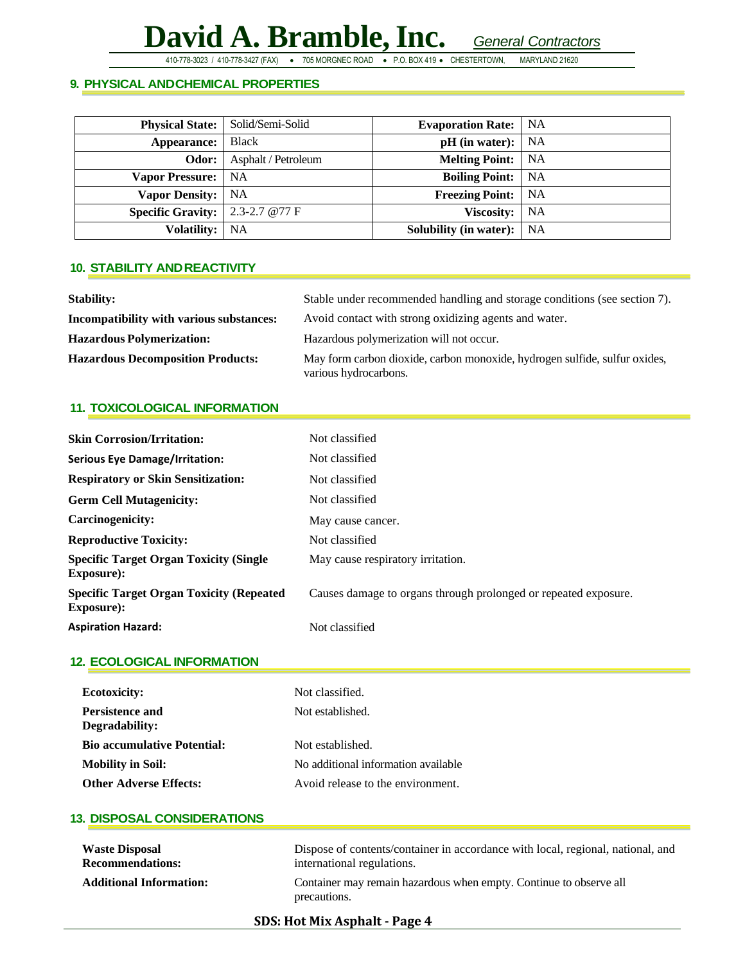410-778-3023 / 410-778-3427 (FAX) • 705 MORGNEC ROAD • P.O. BOX 419 • CHESTERTOWN, MARYLAND 21620

#### **9. PHYSICAL ANDCHEMICAL PROPERTIES**

| <b>Physical State:</b>                     | Solid/Semi-Solid    | <b>Evaporation Rate:</b>      | <b>NA</b> |
|--------------------------------------------|---------------------|-------------------------------|-----------|
| Appearance:                                | Black               | $pH$ (in water):              | <b>NA</b> |
| Odor:                                      | Asphalt / Petroleum | <b>Melting Point:</b>         | <b>NA</b> |
| Vapor Pressure:   NA                       |                     | <b>Boiling Point:</b>         | <b>NA</b> |
| <b>Vapor Density:</b> NA                   |                     | <b>Freezing Point:</b>        | <b>NA</b> |
| <b>Specific Gravity:</b>   2.3-2.7 $@77$ F |                     | <b>Viscosity:</b>             | NA        |
| <b>Volatility:</b>                         | NA                  | <b>Solubility (in water):</b> | NA        |

#### **10. STABILITY ANDREACTIVITY**

| <b>Stability:</b>                        | Stable under recommended handling and storage conditions (see section 7).                           |
|------------------------------------------|-----------------------------------------------------------------------------------------------------|
| Incompatibility with various substances: | Avoid contact with strong oxidizing agents and water.                                               |
| <b>Hazardous Polymerization:</b>         | Hazardous polymerization will not occur.                                                            |
| <b>Hazardous Decomposition Products:</b> | May form carbon dioxide, carbon monoxide, hydrogen sulfide, sulfur oxides,<br>various hydrocarbons. |

#### **11. TOXICOLOGICAL INFORMATION**

| <b>Skin Corrosion/Irritation:</b>                                    | Not classified                                                  |
|----------------------------------------------------------------------|-----------------------------------------------------------------|
| <b>Serious Eye Damage/Irritation:</b>                                | Not classified                                                  |
| <b>Respiratory or Skin Sensitization:</b>                            | Not classified                                                  |
| <b>Germ Cell Mutagenicity:</b>                                       | Not classified                                                  |
| Carcinogenicity:                                                     | May cause cancer.                                               |
| <b>Reproductive Toxicity:</b>                                        | Not classified                                                  |
| <b>Specific Target Organ Toxicity (Single)</b><br><b>Exposure:</b>   | May cause respiratory irritation.                               |
| <b>Specific Target Organ Toxicity (Repeated)</b><br><b>Exposure:</b> | Causes damage to organs through prolonged or repeated exposure. |
| <b>Aspiration Hazard:</b>                                            | Not classified                                                  |

#### **12. ECOLOGICAL INFORMATION**

| <b>Ecotoxicity:</b><br><b>Persistence and</b><br>Degradability: | Not classified.<br>Not established. |
|-----------------------------------------------------------------|-------------------------------------|
| <b>Bio accumulative Potential:</b>                              | Not established.                    |
| <b>Mobility in Soil:</b>                                        | No additional information available |
| <b>Other Adverse Effects:</b>                                   | Avoid release to the environment.   |

#### **13. DISPOSAL CONSIDERATIONS**

| <b>Waste Disposal</b>          | Dispose of contents/container in accordance with local, regional, national, and    |
|--------------------------------|------------------------------------------------------------------------------------|
| <b>Recommendations:</b>        | international regulations.                                                         |
| <b>Additional Information:</b> | Container may remain hazardous when empty. Continue to observe all<br>precautions. |

#### **SDS: Hot Mix Asphalt - Page 4**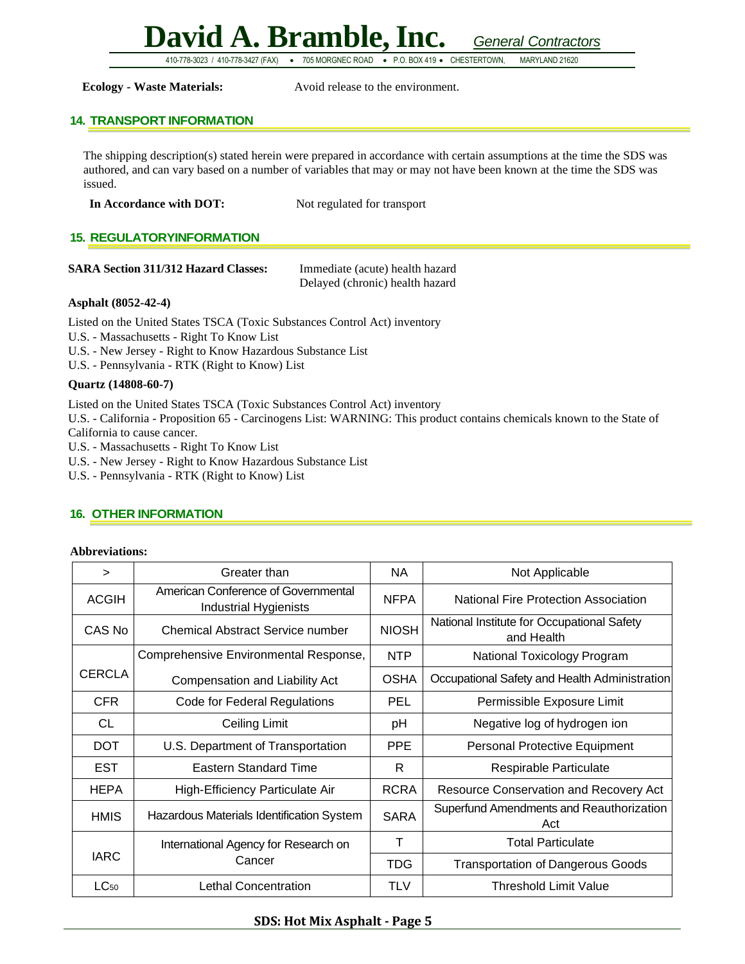410-778-3023 / 410-778-3427 (FAX) • 705 MORGNEC ROAD • P.O. BOX 419 • CHESTERTOWN, MARYLAND 21620

**Ecology - Waste Materials:** Avoid release to the environment.

#### **14. TRANSPORT INFORMATION**

The shipping description(s) stated herein were prepared in accordance with certain assumptions at the time the SDS was authored, and can vary based on a number of variables that may or may not have been known at the time the SDS was issued.

| In Accordance with DOT: | Not regulated for transport |
|-------------------------|-----------------------------|
|-------------------------|-----------------------------|

#### **15. REGULATORYINFORMATION**

| <b>SARA Section 311/312 Hazard Classes:</b> | Immediate (acute) health hazard |
|---------------------------------------------|---------------------------------|
|                                             | Delayed (chronic) health hazard |

#### **Asphalt (8052-42-4)**

Listed on the United States TSCA (Toxic Substances Control Act) inventory

U.S. - Massachusetts - Right To Know List

- U.S. New Jersey Right to Know Hazardous Substance List
- U.S. Pennsylvania RTK (Right to Know) List

#### **Quartz (14808-60-7)**

Listed on the United States TSCA (Toxic Substances Control Act) inventory

U.S. - California - Proposition 65 - Carcinogens List: WARNING: This product contains chemicals known to the State of California to cause cancer.

U.S. - Massachusetts - Right To Know List

- U.S. New Jersey Right to Know Hazardous Substance List
- U.S. Pennsylvania RTK (Right to Know) List

#### **16. OTHER INFORMATION**

#### **Abbreviations:**

| $\geq$        | Greater than                                                        | <b>NA</b>    | Not Applicable                                           |
|---------------|---------------------------------------------------------------------|--------------|----------------------------------------------------------|
| <b>ACGIH</b>  | American Conference of Governmental<br><b>Industrial Hygienists</b> | <b>NFPA</b>  | <b>National Fire Protection Association</b>              |
| CAS No        | Chemical Abstract Service number                                    | <b>NIOSH</b> | National Institute for Occupational Safety<br>and Health |
|               | Comprehensive Environmental Response,                               | <b>NTP</b>   | National Toxicology Program                              |
| <b>CERCLA</b> | Compensation and Liability Act                                      | <b>OSHA</b>  | Occupational Safety and Health Administration            |
| <b>CFR</b>    | <b>Code for Federal Regulations</b>                                 | PEL          | Permissible Exposure Limit                               |
| <b>CL</b>     | Ceiling Limit                                                       | pH           | Negative log of hydrogen ion                             |
| <b>DOT</b>    | U.S. Department of Transportation                                   | <b>PPE</b>   | Personal Protective Equipment                            |
| <b>EST</b>    | <b>Eastern Standard Time</b>                                        | R            | Respirable Particulate                                   |
| <b>HEPA</b>   | High-Efficiency Particulate Air                                     | <b>RCRA</b>  | <b>Resource Conservation and Recovery Act</b>            |
| <b>HMIS</b>   | Hazardous Materials Identification System                           | <b>SARA</b>  | Superfund Amendments and Reauthorization<br>Act          |
| <b>IARC</b>   | International Agency for Research on<br>Cancer                      | Т            | <b>Total Particulate</b>                                 |
|               |                                                                     | <b>TDG</b>   | <b>Transportation of Dangerous Goods</b>                 |
| $LC_{50}$     | Lethal Concentration                                                | TLV          | Threshold Limit Value                                    |